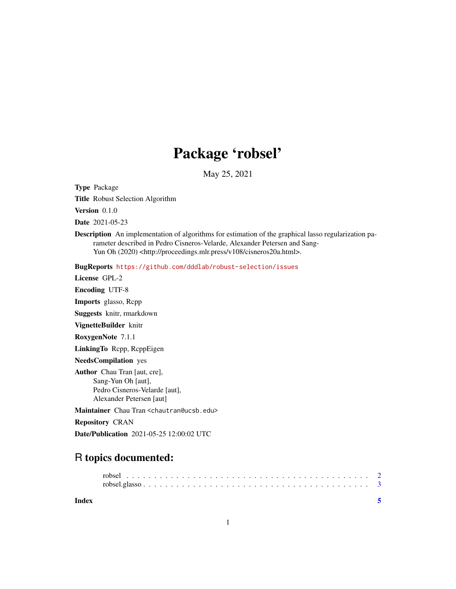## Package 'robsel'

May 25, 2021

<span id="page-0-0"></span>Type Package

Title Robust Selection Algorithm

Version 0.1.0

Date 2021-05-23

Description An implementation of algorithms for estimation of the graphical lasso regularization parameter described in Pedro Cisneros-Velarde, Alexander Petersen and Sang-Yun Oh (2020) <http://proceedings.mlr.press/v108/cisneros20a.html>.

BugReports <https://github.com/dddlab/robust-selection/issues>

License GPL-2 Encoding UTF-8 Imports glasso, Rcpp Suggests knitr, rmarkdown VignetteBuilder knitr RoxygenNote 7.1.1 LinkingTo Rcpp, RcppEigen NeedsCompilation yes Author Chau Tran [aut, cre], Sang-Yun Oh [aut], Pedro Cisneros-Velarde [aut], Alexander Petersen [aut]

Maintainer Chau Tran <chautran@ucsb.edu>

Repository CRAN

Date/Publication 2021-05-25 12:00:02 UTC

### R topics documented:

**Index** [5](#page-4-0). The second state of the second state of the second state of the second state of the second state of the second state of the second state of the second state of the second state of the second state of the second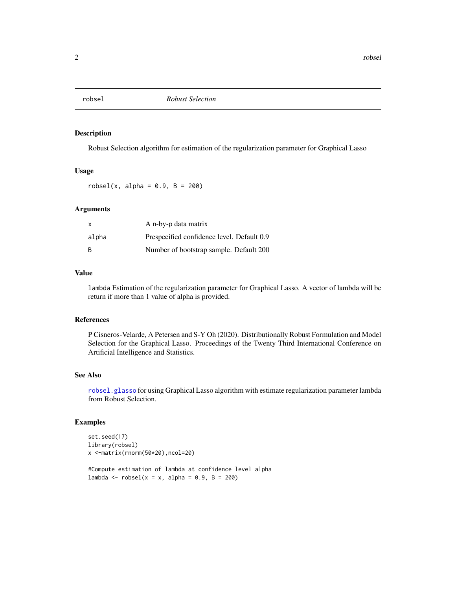<span id="page-1-1"></span><span id="page-1-0"></span>

#### Description

Robust Selection algorithm for estimation of the regularization parameter for Graphical Lasso

#### Usage

 $robsel(x, alpha = 0.9, B = 200)$ 

#### Arguments

| X     | A n-by-p data matrix                       |
|-------|--------------------------------------------|
| alpha | Prespecified confidence level. Default 0.9 |
| B     | Number of bootstrap sample. Default 200    |

#### Value

lambda Estimation of the regularization parameter for Graphical Lasso. A vector of lambda will be return if more than 1 value of alpha is provided.

#### References

P Cisneros-Velarde, A Petersen and S-Y Oh (2020). Distributionally Robust Formulation and Model Selection for the Graphical Lasso. Proceedings of the Twenty Third International Conference on Artificial Intelligence and Statistics.

#### See Also

[robsel.glasso](#page-2-1) for using Graphical Lasso algorithm with estimate regularization parameter lambda from Robust Selection.

#### Examples

```
set.seed(17)
library(robsel)
x <-matrix(rnorm(50*20),ncol=20)
#Compute estimation of lambda at confidence level alpha
lambda <- robsel(x = x, alpha = 0.9, B = 200)
```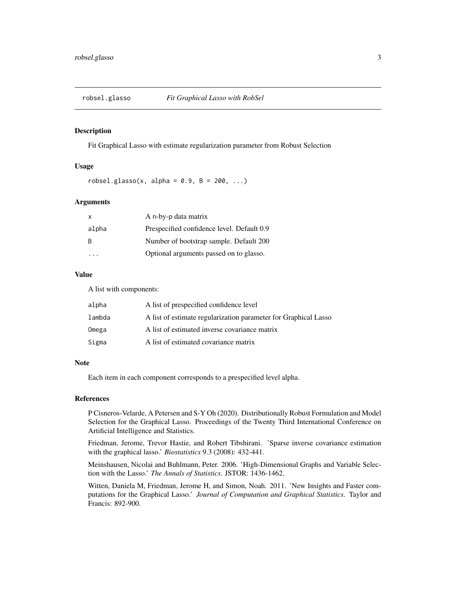<span id="page-2-1"></span><span id="page-2-0"></span>

#### Description

Fit Graphical Lasso with estimate regularization parameter from Robust Selection

#### Usage

robsel.glasso(x, alpha =  $0.9$ , B =  $200$ , ...)

#### **Arguments**

| X     | A n-by-p data matrix                       |
|-------|--------------------------------------------|
| alpha | Prespecified confidence level. Default 0.9 |
| -B    | Number of bootstrap sample. Default 200    |
|       | Optional arguments passed on to glasso.    |

#### Value

A list with components:

| alpha  | A list of prespecified confidence level                         |
|--------|-----------------------------------------------------------------|
| lambda | A list of estimate regularization parameter for Graphical Lasso |
| Omega  | A list of estimated inverse covariance matrix                   |
| Sigma  | A list of estimated covariance matrix                           |

#### **Note**

Each item in each component corresponds to a prespecified level alpha.

#### References

P Cisneros-Velarde, A Petersen and S-Y Oh (2020). Distributionally Robust Formulation and Model Selection for the Graphical Lasso. Proceedings of the Twenty Third International Conference on Artificial Intelligence and Statistics.

Friedman, Jerome, Trevor Hastie, and Robert Tibshirani. 'Sparse inverse covariance estimation with the graphical lasso.' *Biostatistics* 9.3 (2008): 432-441.

Meinshausen, Nicolai and Buhlmann, Peter. 2006. 'High-Dimensional Graphs and Variable Selection with the Lasso.' *The Annals of Statistics*. JSTOR: 1436-1462.

Witten, Daniela M, Friedman, Jerome H, and Simon, Noah. 2011. 'New Insights and Faster computations for the Graphical Lasso.' *Journal of Computation and Graphical Statistics*. Taylor and Francis: 892-900.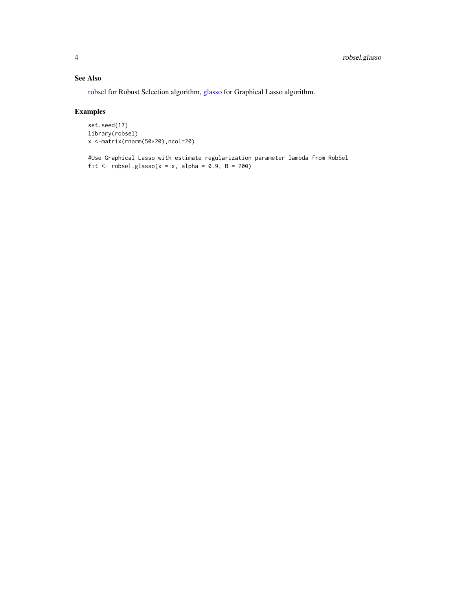#### <span id="page-3-0"></span>See Also

[robsel](#page-1-1) for Robust Selection algorithm, [glasso](#page-0-0) for Graphical Lasso algorithm.

#### Examples

```
set.seed(17)
library(robsel)
x <-matrix(rnorm(50*20),ncol=20)
```
#Use Graphical Lasso with estimate regularization parameter lambda from RobSel fit  $\le$  robsel.glasso(x = x, alpha = 0.9, B = 200)